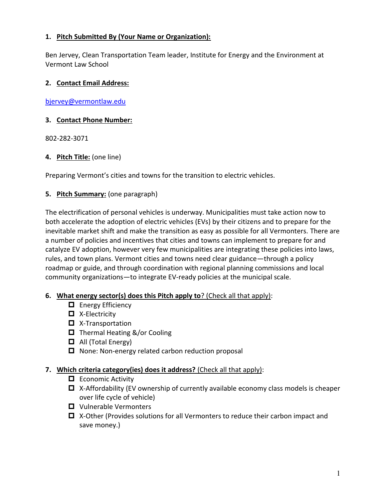## **1. Pitch Submitted By (Your Name or Organization):**

Ben Jervey, Clean Transportation Team leader, Institute for Energy and the Environment at Vermont Law School

## **2. Contact Email Address:**

[bjervey@vermontlaw.edu](mailto:bjervey@vermontlaw.edu)

## **3. Contact Phone Number:**

802-282-3071

**4. Pitch Title:** (one line)

Preparing Vermont's cities and towns for the transition to electric vehicles.

# **5. Pitch Summary:** (one paragraph)

The electrification of personal vehicles is underway. Municipalities must take action now to both accelerate the adoption of electric vehicles (EVs) by their citizens and to prepare for the inevitable market shift and make the transition as easy as possible for all Vermonters. There are a number of policies and incentives that cities and towns can implement to prepare for and catalyze EV adoption, however very few municipalities are integrating these policies into laws, rules, and town plans. Vermont cities and towns need clear guidance—through a policy roadmap or guide, and through coordination with regional planning commissions and local community organizations—to integrate EV-ready policies at the municipal scale.

### **6. What energy sector(s) does this Pitch apply to**? (Check all that apply):

- $\Box$  Energy Efficiency
- $\blacksquare$  X-Electricity
- $\Box$  X-Transportation
- $\Box$  Thermal Heating &/or Cooling
- $\Box$  All (Total Energy)
- $\Box$  None: Non-energy related carbon reduction proposal

### **7. Which criteria category(ies) does it address?** (Check all that apply):

- $\Box$  Economic Activity
- $\Box$  X-Affordability (EV ownership of currently available economy class models is cheaper over life cycle of vehicle)
- **□** Vulnerable Vermonters
- $\Box$  X-Other (Provides solutions for all Vermonters to reduce their carbon impact and save money.)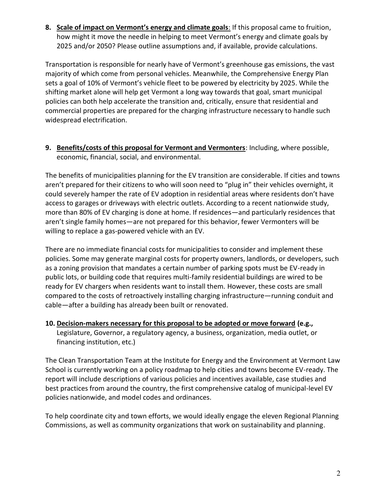8. Scale of impact on Vermont's energy and climate goals: If this proposal came to fruition, how might it move the needle in helping to meet Vermont's energy and climate goals by 2025 and/or 2050? Please outline assumptions and, if available, provide calculations.

Transportation is responsible for nearly have of Vermont's greenhouse gas emissions, the vast majority of which come from personal vehicles. Meanwhile, the Comprehensive Energy Plan sets a goal of 10% of Vermont's vehicle fleet to be powered by electricity by 2025. While the shifting market alone will help get Vermont a long way towards that goal, smart municipal policies can both help accelerate the transition and, critically, ensure that residential and commercial properties are prepared for the charging infrastructure necessary to handle such widespread electrification.

9. Benefits/costs of this proposal for Vermont and Vermonters: Including, where possible, economic, financial, social, and environmental.

The benefits of municipalities planning for the EV transition are considerable. If cities and towns aren't prepared for their citizens to who will soon need to "plug in" their vehicles overnight, it could severely hamper the rate of EV adoption in residential areas where residents don't have access to garages or driveways with electric outlets. According to a recent nationwide study, more than 80% of EV charging is done at home. If residences—and particularly residences that aren't single family homes—are not prepared for this behavior, fewer Vermonters will be willing to replace a gas-powered vehicle with an EV.

There are no immediate financial costs for municipalities to consider and implement these policies. Some may generate marginal costs for property owners, landlords, or developers, such as a zoning provision that mandates a certain number of parking spots must be EV-ready in public lots, or building code that requires multi-family residential buildings are wired to be ready for EV chargers when residents want to install them. However, these costs are small compared to the costs of retroactively installing charging infrastructure—running conduit and cable-after a building has already been built or renovated.

10. Decision-makers necessary for this proposal to be adopted or move forward (e.g., Legislature, Governor, a regulatory agency, a business, organization, media outlet, or financing institution, etc.)

The Clean Transportation Team at the Institute for Energy and the Environment at Vermont Law School is currently working on a policy roadmap to help cities and towns become EV-ready. The report will include descriptions of various policies and incentives available, case studies and best practices from around the country, the first comprehensive catalog of municipal-level EV policies nationwide, and model codes and ordinances.

To help coordinate city and town efforts, we would ideally engage the eleven Regional Planning Commissions, as well as community organizations that work on sustainability and planning.